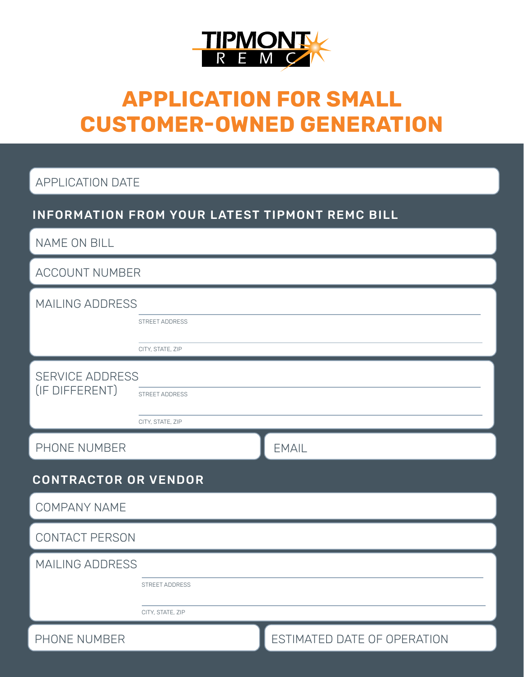

# **APPLICATION FOR SMALL CUSTOMER-OWNED GENERATION**

APPLICATION DATE

## INFORMATION FROM YOUR LATEST TIPMONT REMC BILL

NAME ON BILL

ACCOUNT NUMBER

| MAILING ADDRESS             |                       |                             |  |  |  |  |
|-----------------------------|-----------------------|-----------------------------|--|--|--|--|
|                             | STREET ADDRESS        |                             |  |  |  |  |
|                             | CITY, STATE, ZIP      |                             |  |  |  |  |
| <b>SERVICE ADDRESS</b>      |                       |                             |  |  |  |  |
| (IF DIFFERENT)              | <b>STREET ADDRESS</b> |                             |  |  |  |  |
|                             | CITY, STATE, ZIP      |                             |  |  |  |  |
| PHONE NUMBER                |                       | <b>EMAIL</b>                |  |  |  |  |
| <b>CONTRACTOR OR VENDOR</b> |                       |                             |  |  |  |  |
| <b>COMPANY NAME</b>         |                       |                             |  |  |  |  |
| <b>CONTACT PERSON</b>       |                       |                             |  |  |  |  |
| MAILING ADDRESS             |                       |                             |  |  |  |  |
|                             | <b>STREET ADDRESS</b> |                             |  |  |  |  |
|                             | CITY, STATE, ZIP      |                             |  |  |  |  |
| PHONE NUMBER                |                       | ESTIMATED DATE OF OPERATION |  |  |  |  |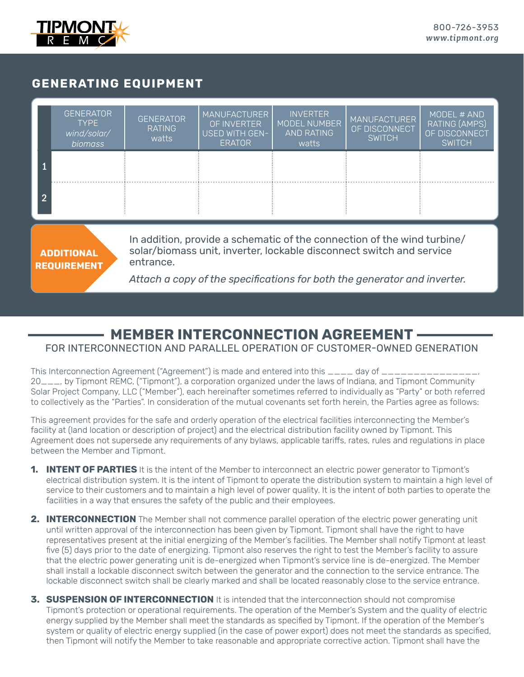

### **GENERATING EQUIPMENT**

|                                                                                           | <b>GENERATOR</b><br><b>TYPF</b><br>wind/solar/<br><i>biomass</i> | <b>GENERATOR</b><br><b>RATING</b><br>watts | <b>MANUFACTURER</b><br>OF INVERTER<br>USED WITH GEN-<br><b>ERATOR</b> | <b>INVERTER</b><br>MODEL NUMBER<br>AND RATING<br>watts | <b>MANUFACTURER</b><br>OF DISCONNECT<br><b>SWITCH</b> | MODEL # AND<br><b>RATING (AMPS)</b><br>OF DISCONNECT<br><b>SWITCH</b> |  |
|-------------------------------------------------------------------------------------------|------------------------------------------------------------------|--------------------------------------------|-----------------------------------------------------------------------|--------------------------------------------------------|-------------------------------------------------------|-----------------------------------------------------------------------|--|
| റ                                                                                         |                                                                  |                                            |                                                                       |                                                        |                                                       |                                                                       |  |
| In addition, provide a schematic of the connection of the wind turbine/                   |                                                                  |                                            |                                                                       |                                                        |                                                       |                                                                       |  |
| solar/biomass unit, inverter, lockable disconnect switch and service<br><b>ADDITIONAL</b> |                                                                  |                                            |                                                                       |                                                        |                                                       |                                                                       |  |

**REQUIREMENT**

entrance.

*Attach a copy of the specifications for both the generator and inverter.*

## **MEMBER INTERCONNECTION AGREEMENT** FOR INTERCONNECTION AND PARALLEL OPERATION OF CUSTOMER-OWNED GENERATION

This Interconnection Agreement ("Agreement") is made and entered into this  $\_\_ \_\_$  day of  $\_\_$ 20\_\_\_, by Tipmont REMC, ("Tipmont"), a corporation organized under the laws of Indiana, and Tipmont Community Solar Project Company, LLC ("Member"), each hereinafter sometimes referred to individually as "Party" or both referred to collectively as the "Parties". In consideration of the mutual covenants set forth herein, the Parties agree as follows:

This agreement provides for the safe and orderly operation of the electrical facilities interconnecting the Member's facility at (land location or description of project) and the electrical distribution facility owned by Tipmont. This Agreement does not supersede any requirements of any bylaws, applicable tariffs, rates, rules and regulations in place between the Member and Tipmont.

- **1. INTENT OF PARTIES** It is the intent of the Member to interconnect an electric power generator to Tipmont's electrical distribution system. It is the intent of Tipmont to operate the distribution system to maintain a high level of service to their customers and to maintain a high level of power quality. It is the intent of both parties to operate the facilities in a way that ensures the safety of the public and their employees.
- **2. INTERCONNECTION** The Member shall not commence parallel operation of the electric power generating unit until written approval of the interconnection has been given by Tipmont. Tipmont shall have the right to have representatives present at the initial energizing of the Member's facilities. The Member shall notify Tipmont at least five (5) days prior to the date of energizing. Tipmont also reserves the right to test the Member's facility to assure that the electric power generating unit is de-energized when Tipmont's service line is de-energized. The Member shall install a lockable disconnect switch between the generator and the connection to the service entrance. The lockable disconnect switch shall be clearly marked and shall be located reasonably close to the service entrance.
- **3. SUSPENSION OF INTERCONNECTION** It is intended that the interconnection should not compromise Tipmont's protection or operational requirements. The operation of the Member's System and the quality of electric energy supplied by the Member shall meet the standards as specified by Tipmont. If the operation of the Member's system or quality of electric energy supplied (in the case of power export) does not meet the standards as specified, then Tipmont will notify the Member to take reasonable and appropriate corrective action. Tipmont shall have the